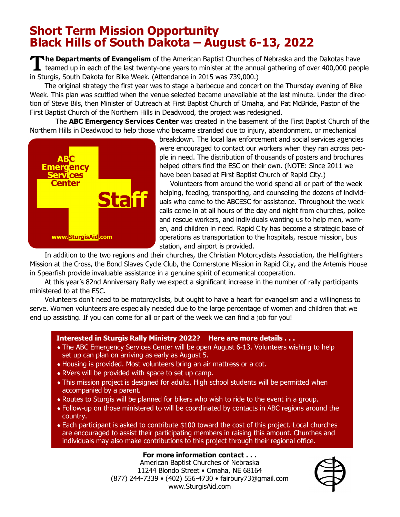## **Short Term Mission Opportunity Black Hills of South Dakota – August 6-13, 2022**

The Departments of Evangelism of the American Baptist Churches of Nebraska and the Dakotas have<br>teamed up in each of the last twenty-one years to minister at the annual gathering of over 400,000 peop teamed up in each of the last twenty-one years to minister at the annual gathering of over 400,000 people in Sturgis, South Dakota for Bike Week. (Attendance in 2015 was 739,000.)

The original strategy the first year was to stage a barbecue and concert on the Thursday evening of Bike Week. This plan was scuttled when the venue selected became unavailable at the last minute. Under the direction of Steve Bils, then Minister of Outreach at First Baptist Church of Omaha, and Pat McBride, Pastor of the First Baptist Church of the Northern Hills in Deadwood, the project was redesigned.

 The **ABC Emergency Services Center** was created in the basement of the First Baptist Church of the Northern Hills in Deadwood to help those who became stranded due to injury, abandonment, or mechanical



breakdown. The local law enforcement and social services agencies were encouraged to contact our workers when they ran across people in need. The distribution of thousands of posters and brochures helped others find the ESC on their own. (NOTE: Since 2011 we have been based at First Baptist Church of Rapid City.)

 Volunteers from around the world spend all or part of the week helping, feeding, transporting, and counseling the dozens of individuals who come to the ABCESC for assistance. Throughout the week calls come in at all hours of the day and night from churches, police and rescue workers, and individuals wanting us to help men, women, and children in need. Rapid City has become a strategic base of operations as transportation to the hospitals, rescue mission, bus station, and airport is provided.

In addition to the two regions and their churches, the Christian Motorcyclists Association, the Hellfighters Mission at the Cross, the Bond Slaves Cycle Club, the Cornerstone Mission in Rapid City, and the Artemis House in Spearfish provide invaluable assistance in a genuine spirit of ecumenical cooperation.

At this year's 82nd Anniversary Rally we expect a significant increase in the number of rally participants ministered to at the ESC.

Volunteers don't need to be motorcyclists, but ought to have a heart for evangelism and a willingness to serve. Women volunteers are especially needed due to the large percentage of women and children that we end up assisting. If you can come for all or part of the week we can find a job for you!

## **Interested in Sturgis Rally Ministry 2022? Here are more details . . .**

- The ABC Emergency Services Center will be open August 6-13. Volunteers wishing to help set up can plan on arriving as early as August 5.
- Housing is provided. Most volunteers bring an air mattress or a cot.
- RVers will be provided with space to set up camp.
- This mission project is designed for adults. High school students will be permitted when accompanied by a parent.
- Routes to Sturgis will be planned for bikers who wish to ride to the event in a group.
- Follow-up on those ministered to will be coordinated by contacts in ABC regions around the country.
- Each participant is asked to contribute \$100 toward the cost of this project. Local churches are encouraged to assist their participating members in raising this amount. Churches and individuals may also make contributions to this project through their regional office.

## **For more information contact . . .**

American Baptist Churches of Nebraska 11244 Blondo Street • Omaha, NE 68164 (877) 244-7339 • (402) 556-4730 • fairbury73@gmail.com www.SturgisAid.com